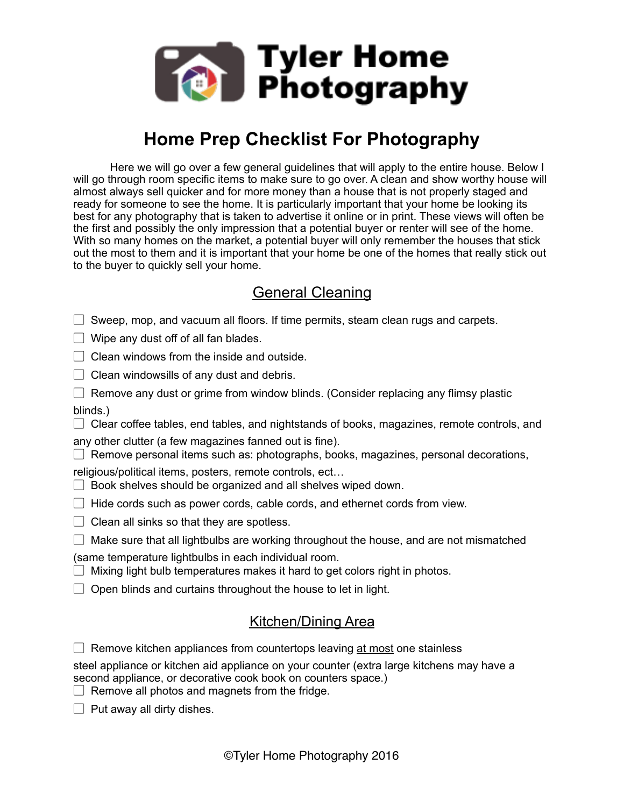

# **Home Prep Checklist For Photography**

Here we will go over a few general guidelines that will apply to the entire house. Below I will go through room specific items to make sure to go over. A clean and show worthy house will almost always sell quicker and for more money than a house that is not properly staged and ready for someone to see the home. It is particularly important that your home be looking its best for any photography that is taken to advertise it online or in print. These views will often be the first and possibly the only impression that a potential buyer or renter will see of the home. With so many homes on the market, a potential buyer will only remember the houses that stick out the most to them and it is important that your home be one of the homes that really stick out to the buyer to quickly sell your home.

## General Cleaning

 $\Box$  Sweep, mop, and vacuum all floors. If time permits, steam clean rugs and carpets.

 $\Box$  Wipe any dust off of all fan blades.

 $\Box$  Clean windows from the inside and outside.

 $\Box$  Clean windowsills of any dust and debris.

 $\Box$  Remove any dust or grime from window blinds. (Consider replacing any flimsy plastic blinds.)

 $\Box$  Clear coffee tables, end tables, and nightstands of books, magazines, remote controls, and

any other clutter (a few magazines fanned out is fine).

 $\Box$  Remove personal items such as: photographs, books, magazines, personal decorations,

religious/political items, posters, remote controls, ect…

- $\Box$  Book shelves should be organized and all shelves wiped down.
- $\Box$  Hide cords such as power cords, cable cords, and ethernet cords from view.
- $\Box$  Clean all sinks so that they are spotless.
- $\Box$  Make sure that all lightbulbs are working throughout the house, and are not mismatched

(same temperature lightbulbs in each individual room.

- $\Box$  Mixing light bulb temperatures makes it hard to get colors right in photos.
- $\Box$  Open blinds and curtains throughout the house to let in light.

#### Kitchen/Dining Area

 $\Box$  Remove kitchen appliances from countertops leaving at most one stainless

steel appliance or kitchen aid appliance on your counter (extra large kitchens may have a second appliance, or decorative cook book on counters space.)

- $\Box$  Remove all photos and magnets from the fridge.
- $\Box$  Put away all dirty dishes.